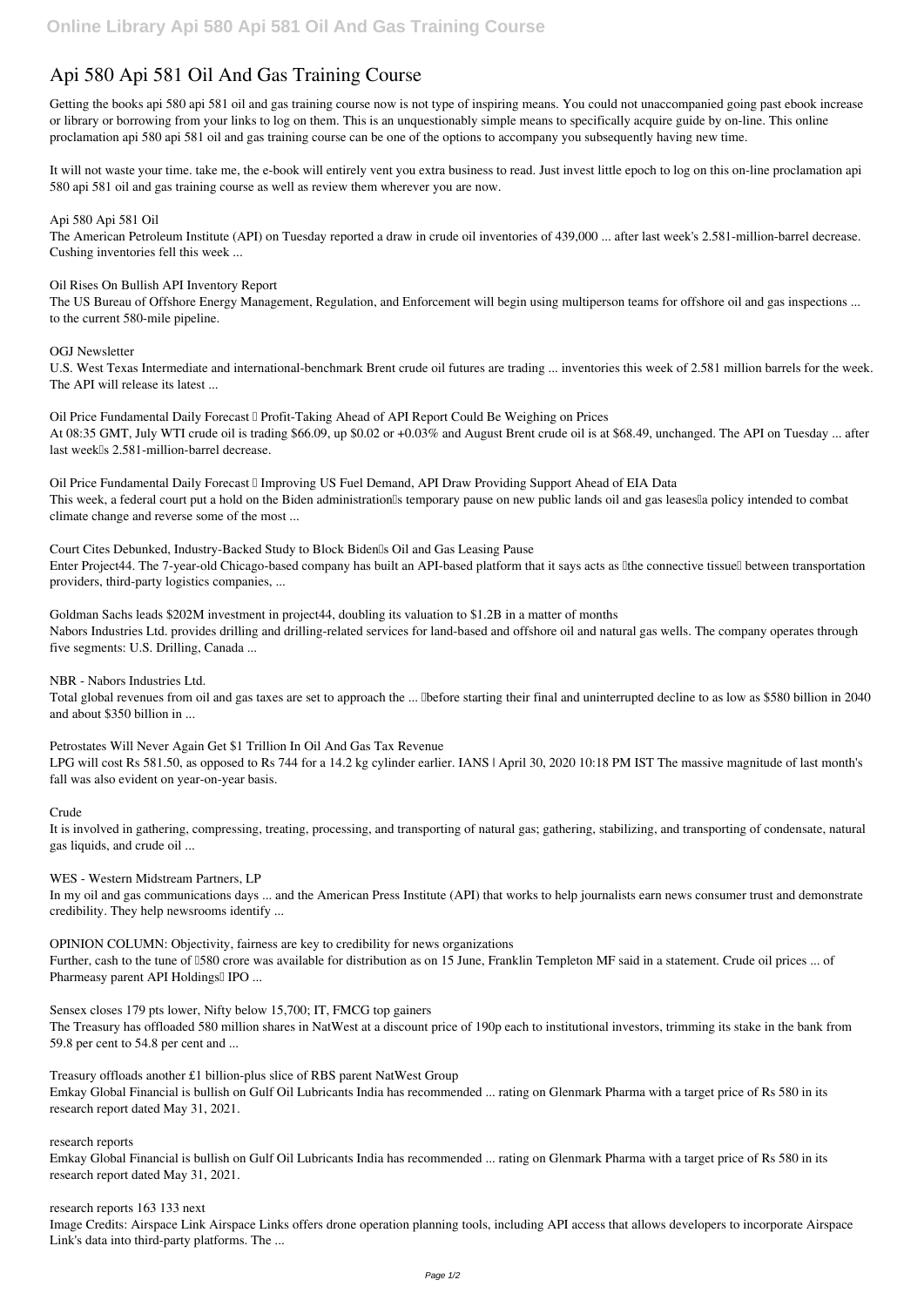# **Api 580 Api 581 Oil And Gas Training Course**

Getting the books **api 580 api 581 oil and gas training course** now is not type of inspiring means. You could not unaccompanied going past ebook increase or library or borrowing from your links to log on them. This is an unquestionably simple means to specifically acquire guide by on-line. This online proclamation api 580 api 581 oil and gas training course can be one of the options to accompany you subsequently having new time.

It will not waste your time. take me, the e-book will entirely vent you extra business to read. Just invest little epoch to log on this on-line proclamation **api 580 api 581 oil and gas training course** as well as review them wherever you are now.

### *Api 580 Api 581 Oil*

The American Petroleum Institute (API) on Tuesday reported a draw in crude oil inventories of 439,000 ... after last week's 2.581-million-barrel decrease. Cushing inventories fell this week ...

*Oil Rises On Bullish API Inventory Report*

*Oil Price Fundamental Daily Forecast II Improving US Fuel Demand, API Draw Providing Support Ahead of EIA Data* This week, a federal court put a hold on the Biden administration<sup>'s</sup> temporary pause on new public lands oil and gas leases<sup>[]</sup> a policy intended to combat climate change and reverse some of the most ...

The US Bureau of Offshore Energy Management, Regulation, and Enforcement will begin using multiperson teams for offshore oil and gas inspections ... to the current 580-mile pipeline.

#### *OGJ Newsletter*

U.S. West Texas Intermediate and international-benchmark Brent crude oil futures are trading ... inventories this week of 2.581 million barrels for the week. The API will release its latest ...

*Oil Price Fundamental Daily Forecast <sup>n</sup> Profit-Taking Ahead of API Report Could Be Weighing on Prices* At 08:35 GMT, July WTI crude oil is trading \$66.09, up \$0.02 or +0.03% and August Brent crude oil is at \$68.49, unchanged. The API on Tuesday ... after last week<sup>[]</sup>s 2.581-million-barrel decrease.

*Court Cites Debunked, Industry-Backed Study to Block Biden's Oil and Gas Leasing Pause* Enter Project44. The 7-year-old Chicago-based company has built an API-based platform that it says acts as Ithe connective tissuell between transportation providers, third-party logistics companies, ...

*Goldman Sachs leads \$202M investment in project44, doubling its valuation to \$1.2B in a matter of months* Nabors Industries Ltd. provides drilling and drilling-related services for land-based and offshore oil and natural gas wells. The company operates through five segments: U.S. Drilling, Canada ...

*NBR - Nabors Industries Ltd.*

Total global revenues from oil and gas taxes are set to approach the ... "before starting their final and uninterrupted decline to as low as \$580 billion in 2040 and about \$350 billion in ...

*Petrostates Will Never Again Get \$1 Trillion In Oil And Gas Tax Revenue*

LPG will cost Rs 581.50, as opposed to Rs 744 for a 14.2 kg cylinder earlier. IANS | April 30, 2020 10:18 PM IST The massive magnitude of last month's fall was also evident on year-on-year basis.

#### *Crude*

It is involved in gathering, compressing, treating, processing, and transporting of natural gas; gathering, stabilizing, and transporting of condensate, natural gas liquids, and crude oil ...

*WES - Western Midstream Partners, LP*

In my oil and gas communications days ... and the American Press Institute (API) that works to help journalists earn news consumer trust and demonstrate credibility. They help newsrooms identify ...

*OPINION COLUMN: Objectivity, fairness are key to credibility for news organizations*

Further, cash to the tune of  $1580$  crore was available for distribution as on 15 June, Franklin Templeton MF said in a statement. Crude oil prices ... of Pharmeasy parent API Holdings<sup>[]</sup> IPO ...

*Sensex closes 179 pts lower, Nifty below 15,700; IT, FMCG top gainers*

The Treasury has offloaded 580 million shares in NatWest at a discount price of 190p each to institutional investors, trimming its stake in the bank from 59.8 per cent to 54.8 per cent and ...

*Treasury offloads another £1 billion-plus slice of RBS parent NatWest Group* Emkay Global Financial is bullish on Gulf Oil Lubricants India has recommended ... rating on Glenmark Pharma with a target price of Rs 580 in its research report dated May 31, 2021.

*research reports*

Emkay Global Financial is bullish on Gulf Oil Lubricants India has recommended ... rating on Glenmark Pharma with a target price of Rs 580 in its research report dated May 31, 2021.

*research reports 163 133 next* Image Credits: Airspace Link Airspace Links offers drone operation planning tools, including API access that allows developers to incorporate Airspace Link's data into third-party platforms. The ...